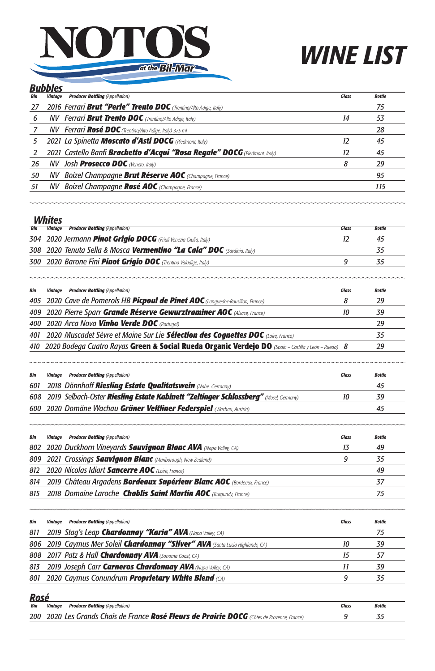



|     | <b>Bubbles</b> |                                                                                   |              |               |  |
|-----|----------------|-----------------------------------------------------------------------------------|--------------|---------------|--|
| Bin | Vintage        | <b>Producer Bottling</b> (Appellation)                                            | <b>Glass</b> | <b>Bottle</b> |  |
| 27  |                | 2016 Ferrari Brut "Perle" Trento DOC (Trentino/Alto Adige, Italy)                 |              | 75            |  |
| 6   |                | $\mathcal{N}V$ Ferrari Brut Trento DOC (Trentino/Alto Adige, Italy)               | 14           | 53            |  |
|     |                | <b>NV Ferrari Rosé DOC</b> (Trentino/Alto Adige, Italy) 375 ml                    |              | 28            |  |
| 5   |                | 2021 La Spinetta Moscato d'Asti DOCG (Piedmont, Italy)                            | 12           | 45            |  |
|     |                | 2021 Castello Banfi <b>Brachetto d'Acqui "Rosa Regale" DOCG</b> (Piedmont, Italy) | 12           | 45            |  |
| 26  |                | $\boldsymbol{N}V$ Josh <b>Prosecco DOC</b> (Veneto, Italy)                        | 8            | 29            |  |
| 50  |                | <b>NV Boizel Champagne Brut Réserve AOC</b> (Champagne, France)                   |              | 95            |  |
| 51  |                | <b>NV Boizel Champagne Rosé AOC</b> (Champagne, France)                           |              | 115           |  |
|     |                |                                                                                   |              |               |  |

## *Whites*

| Bin | VVIIILCS<br><b><i>Vintaae</i></b> | <b>Producer Bottling (Appellation)</b>                                                               | <b>Glass</b> | <b>Bottle</b> |
|-----|-----------------------------------|------------------------------------------------------------------------------------------------------|--------------|---------------|
| 304 |                                   | 2020 Jermann Pinot Grigio DOCG (Friuli Venezia Giulia, Italy)                                        | <i>12</i>    | 45            |
| 308 |                                   | 2020 Tenuta Sella & Mosca <b>Vermentino "La Cala" DOC</b> (Sardinia, Italy)                          |              | 35            |
| 300 |                                   | 2020 Barone Fini Pinot Grigio DOC (Trentino Valadige, Italy)                                         | 9            | 35            |
| Bin |                                   | <b>Vintage Producer Bottling (Appellation)</b>                                                       | <b>Glass</b> | <b>Bottle</b> |
| 405 |                                   | 2020 Cave de Pomerols HB <b>Picpoul de Pinet AOC</b> (Languedoc-Rousillon, France)                   | 8            | 29            |
| 409 |                                   | 2020 Pierre Sparr Grande Réserve Gewurztraminer AOC (Alsace, France)                                 | 10           | 39            |
| 400 |                                   | 2020 Arca Nova Vinho Verde DOC (Portugal)                                                            |              | 29            |
| 401 |                                   | 2020 Muscadet Sèvre et Maine Sur Lie Sélection des Cognettes DOC (Loire, France)                     |              | 35            |
| 410 |                                   | 2020 Bodega Cuatro Rayas Green & Social Rueda Organic Verdejo DO (Spain - Castilla y León - Rueda) 8 |              | 29            |
| Bin | Vintage                           | <b>Producer Bottling</b> (Appellation)                                                               | <b>Glass</b> | <b>Bottle</b> |
| 601 |                                   | 2018 Dönnhoff Riesling Estate Qualitatswein (Nahe, Germany)                                          |              | 45            |
| 608 |                                   | 2019 Selbach-Oster Riesling Estate Kabinett "Zeltinger Schlossberg" (Mosel, Germany)                 | 10           | 39            |
| 600 |                                   | 2020 Domäne Wachau Grüner Veltliner Federspiel (Wachau, Austria)                                     |              | 45            |
| Bin |                                   | <b>Vintage Producer Bottling (Appellation)</b>                                                       | <b>Glass</b> | <b>Bottle</b> |
| 802 |                                   | 2020 Duckhorn Vineyards Sauvignon Blanc AVA (Napa Valley, CA)                                        | 13           | 49            |
| 809 |                                   | 2021 Crossings Sauvignon Blanc (Marlborough, New Zealand)                                            | 9            | 35            |
| 812 |                                   | 2020 Nicolas Idiart Sancerre AOC (Loire, France)                                                     |              | 49            |
| 814 |                                   | 2019 Château Argadens Bordeaux Supérieur Blanc AOC (Bordeaux, France)                                |              | 37            |

| Bin | <b>Producer Bottling</b> (Appellation)<br>Vintaae                              | Glass | <b>Bottle</b> |
|-----|--------------------------------------------------------------------------------|-------|---------------|
| 811 | 2019 Stag's Leap <b>Chardonnay "Karia" AVA</b> (Napa Valley, CA)               |       | 75            |
|     | 806 2019 Caymus Mer Soleil Chardonnay "Silver" AVA (Santa Lucia Highlands, CA) | 10    | 39            |
|     | 808 2017 Patz & Hall Chardonnay AVA (Sonoma Coast, CA)                         |       | 57            |
|     | 813 2019 Joseph Carr Carneros Chardonnay AVA (Napa Valley, CA)                 |       | 39            |
|     | 801 2020 Caymus Conundrum <b>Proprietary White Blend</b> (CA)                  |       | 35            |

## *Rosé*

| Bin | <b>Vintage Producer Bottling (Appellation)</b>                                              | Glass | Bottle |
|-----|---------------------------------------------------------------------------------------------|-------|--------|
|     | 200 2020 Les Grands Chais de France Rosé Fleurs de Prairie DOCG (Côtes de Provence, France) |       |        |